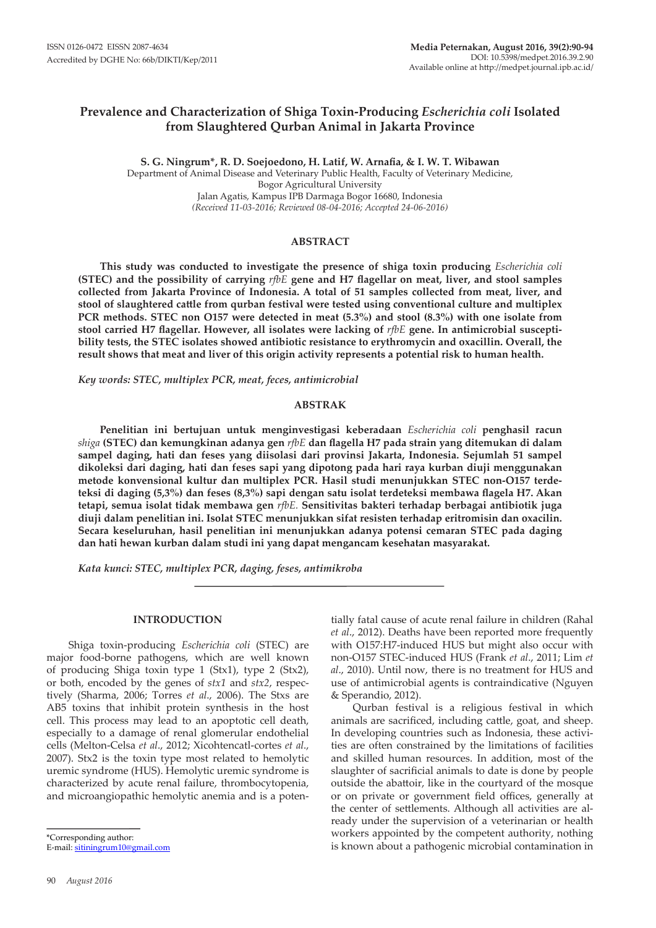# **Prevalence and Characterization of Shiga Toxin-Producing** *Escherichia coli* **Isolated from Slaughtered Qurban Animal in Jakarta Province**

**S. G. Ningrum\*, R. D. Soejoedono, H. Latif, W. Arnafia, & I. W. T. Wibawan** Department of Animal Disease and Veterinary Public Health, Faculty of Veterinary Medicine, Bogor Agricultural University Jalan Agatis, Kampus IPB Darmaga Bogor 16680, Indonesia *(Received 11-03-2016; Reviewed 08-04-2016; Accepted 24-06-2016)*

## **ABSTRACT**

**This study was conducted to investigate the presence of shiga toxin producing** *Escherichia coli* **(STEC) and the possibility of carrying** *rfbE* **gene and H7 flagellar on meat, liver, and stool samples collected from Jakarta Province of Indonesia. A total of 51 samples collected from meat, liver, and stool of slaughtered cattle from qurban festival were tested using conventional culture and multiplex PCR methods. STEC non O157 were detected in meat (5.3%) and stool (8.3%) with one isolate from stool carried H7 flagellar. However, all isolates were lacking of** *rfbE* **gene. In antimicrobial susceptibility tests, the STEC isolates showed antibiotic resistance to erythromycin and oxacillin. Overall, the result shows that meat and liver of this origin activity represents a potential risk to human health.** 

*Key words: STEC, multiplex PCR, meat, feces, antimicrobial*

#### **ABSTRAK**

**Penelitian ini bertujuan untuk menginvestigasi keberadaan** *Escherichia coli* **penghasil racun**  *shiga* **(STEC) dan kemungkinan adanya gen** *rfbE* **dan flagella H7 pada strain yang ditemukan di dalam sampel daging, hati dan feses yang diisolasi dari provinsi Jakarta, Indonesia. Sejumlah 51 sampel dikoleksi dari daging, hati dan feses sapi yang dipotong pada hari raya kurban diuji menggunakan metode konvensional kultur dan multiplex PCR. Hasil studi menunjukkan STEC non-O157 terdeteksi di daging (5,3%) dan feses (8,3%) sapi dengan satu isolat terdeteksi membawa flagela H7. Akan tetapi, semua isolat tidak membawa gen** *rfbE.* **Sensitivitas bakteri terhadap berbagai antibiotik juga diuji dalam penelitian ini. Isolat STEC menunjukkan sifat resisten terhadap eritromisin dan oxacilin. Secara keseluruhan, hasil penelitian ini menunjukkan adanya potensi cemaran STEC pada daging dan hati hewan kurban dalam studi ini yang dapat mengancam kesehatan masyarakat.**

*Kata kunci: STEC, multiplex PCR, daging, feses, antimikroba*

## **INTRODUCTION**

Shiga toxin-producing *Escherichia coli* (STEC) are major food-borne pathogens, which are well known of producing Shiga toxin type 1 (Stx1), type 2 (Stx2), or both, encoded by the genes of *stx1* and *stx2*, respectively (Sharma, 2006; Torres *et al*., 2006). The Stxs are AB5 toxins that inhibit protein synthesis in the host cell. This process may lead to an apoptotic cell death, especially to a damage of renal glomerular endothelial cells (Melton-Celsa *et al*., 2012; Xicohtencatl-cortes *et al*., 2007). Stx2 is the toxin type most related to hemolytic uremic syndrome (HUS). Hemolytic uremic syndrome is characterized by acute renal failure, thrombocytopenia, and microangiopathic hemolytic anemia and is a poten-

\*Corresponding author:

E-mail: sitiningrum10@gmail.com

tially fatal cause of acute renal failure in children (Rahal *et al*., 2012). Deaths have been reported more frequently with O157:H7-induced HUS but might also occur with non-O157 STEC-induced HUS (Frank *et al*., 2011; Lim *et al*., 2010). Until now, there is no treatment for HUS and use of antimicrobial agents is contraindicative (Nguyen & Sperandio, 2012).

Qurban festival is a religious festival in which animals are sacrificed, including cattle, goat, and sheep. In developing countries such as Indonesia, these activities are often constrained by the limitations of facilities and skilled human resources. In addition, most of the slaughter of sacrificial animals to date is done by people outside the abattoir, like in the courtyard of the mosque or on private or government field offices, generally at the center of settlements. Although all activities are already under the supervision of a veterinarian or health workers appointed by the competent authority, nothing is known about a pathogenic microbial contamination in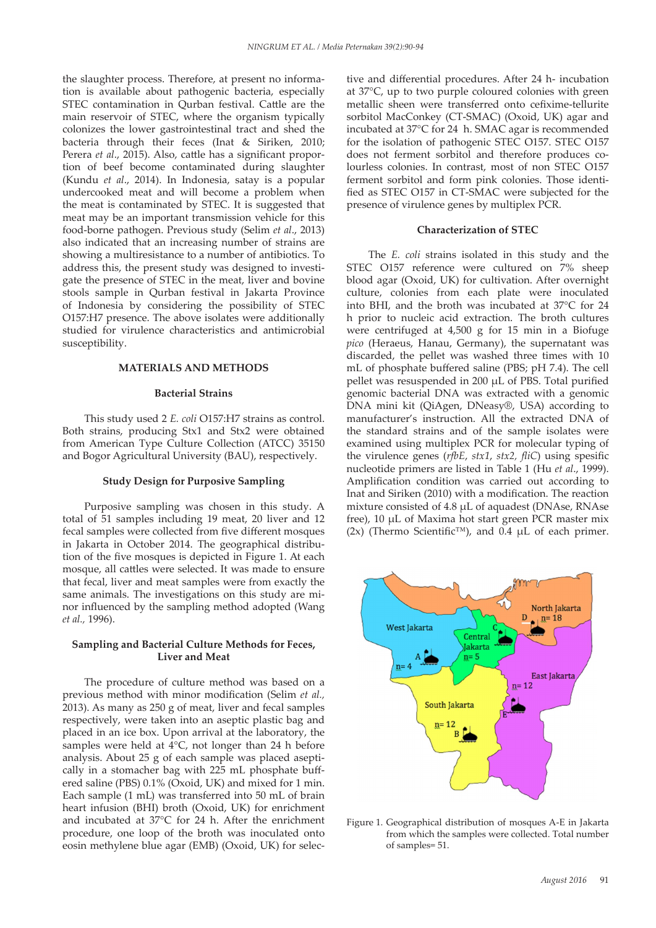the slaughter process. Therefore, at present no information is available about pathogenic bacteria, especially STEC contamination in Qurban festival. Cattle are the main reservoir of STEC, where the organism typically colonizes the lower gastrointestinal tract and shed the bacteria through their feces (Inat & Siriken, 2010; Perera *et al*., 2015). Also, cattle has a significant proportion of beef become contaminated during slaughter (Kundu *et al*., 2014). In Indonesia, satay is a popular undercooked meat and will become a problem when the meat is contaminated by STEC. It is suggested that meat may be an important transmission vehicle for this food-borne pathogen. Previous study (Selim *et al*., 2013) also indicated that an increasing number of strains are showing a multiresistance to a number of antibiotics. To address this, the present study was designed to investigate the presence of STEC in the meat, liver and bovine stools sample in Qurban festival in Jakarta Province of Indonesia by considering the possibility of STEC O157:H7 presence. The above isolates were additionally studied for virulence characteristics and antimicrobial susceptibility.

# **MATERIALS AND METHODS**

#### **Bacterial Strains**

This study used 2 *E. coli* O157:H7 strains as control. Both strains, producing Stx1 and Stx2 were obtained from American Type Culture Collection (ATCC) 35150 and Bogor Agricultural University (BAU), respectively.

#### **Study Design for Purposive Sampling**

Purposive sampling was chosen in this study. A total of 51 samples including 19 meat, 20 liver and 12 fecal samples were collected from five different mosques in Jakarta in October 2014. The geographical distribution of the five mosques is depicted in Figure 1. At each mosque, all cattles were selected. It was made to ensure that fecal, liver and meat samples were from exactly the same animals. The investigations on this study are minor influenced by the sampling method adopted (Wang *et al.,* 1996).

# **Sampling and Bacterial Culture Methods for Feces, Liver and Meat**

The procedure of culture method was based on a previous method with minor modification (Selim *et al.,* 2013). As many as 250 g of meat, liver and fecal samples respectively, were taken into an aseptic plastic bag and placed in an ice box. Upon arrival at the laboratory, the samples were held at  $4^{\circ}$ C, not longer than 24 h before analysis. About 25 g of each sample was placed aseptically in a stomacher bag with 225 mL phosphate buffered saline (PBS) 0.1% (Oxoid, UK) and mixed for 1 min. Each sample (1 mL) was transferred into 50 mL of brain Eactrisample (1 mL) was transferred mto 50 mL of brain<br>heart infusion (BHI) broth (Oxoid, UK) for enrichment and incubated at 37°C for 24 h. After the enrichment procedure, one loop of the broth was inoculated onto eosin methylene blue agar (EMB) (Oxoid, UK) for selective and differential procedures. After 24 h- incubation at 37°C, up to two purple coloured colonies with green metallic sheen were transferred onto cefixime-tellurite sorbitol MacConkey (CT-SMAC) (Oxoid, UK) agar and incubated at 37°C for 24 h. SMAC agar is recommended for the isolation of pathogenic STEC O157. STEC O157 does not ferment sorbitol and therefore produces colourless colonies. In contrast, most of non STEC O157 ferment sorbitol and form pink colonies. Those identified as STEC O157 in CT-SMAC were subjected for the presence of virulence genes by multiplex PCR.

### **Characterization of STEC**

The *E. coli* strains isolated in this study and the STEC O157 reference were cultured on 7% sheep blood agar (Oxoid, UK) for cultivation. After overnight culture, colonies from each plate were inoculated into BHI, and the broth was incubated at 37°C for 24 h prior to nucleic acid extraction. The broth cultures were centrifuged at 4,500 g for 15 min in a Biofuge *pico* (Heraeus, Hanau, Germany), the supernatant was discarded, the pellet was washed three times with 10 mL of phosphate buffered saline (PBS; pH 7.4). The cell pellet was resuspended in 200 µL of PBS. Total purified genomic bacterial DNA was extracted with a genomic DNA mini kit (QiAgen, DNeasy®, USA) according to manufacturer's instruction. All the extracted DNA of the standard strains and of the sample isolates were examined using multiplex PCR for molecular typing of the virulence genes (*rfbE*, *stx1*, *stx2, fliC*) using spesific nucleotide primers are listed in Table 1 (Hu *et al*., 1999). Amplification condition was carried out according to Inat and Siriken (2010) with a modification. The reaction mixture consisted of 4.8 µL of aquadest (DNAse, RNAse free), 10 µL of Maxima hot start green PCR master mix s  $(2x)$  (Thermo Scientific<sup>TM</sup>), and  $0.4 \mu L$  of each primer.



<sup>t</sup> Figure 1. Geographical distribution of mosques A-E in Jakarta from which the samples were collected. Total number of samples= 51.  $3-\frac{1}{2}$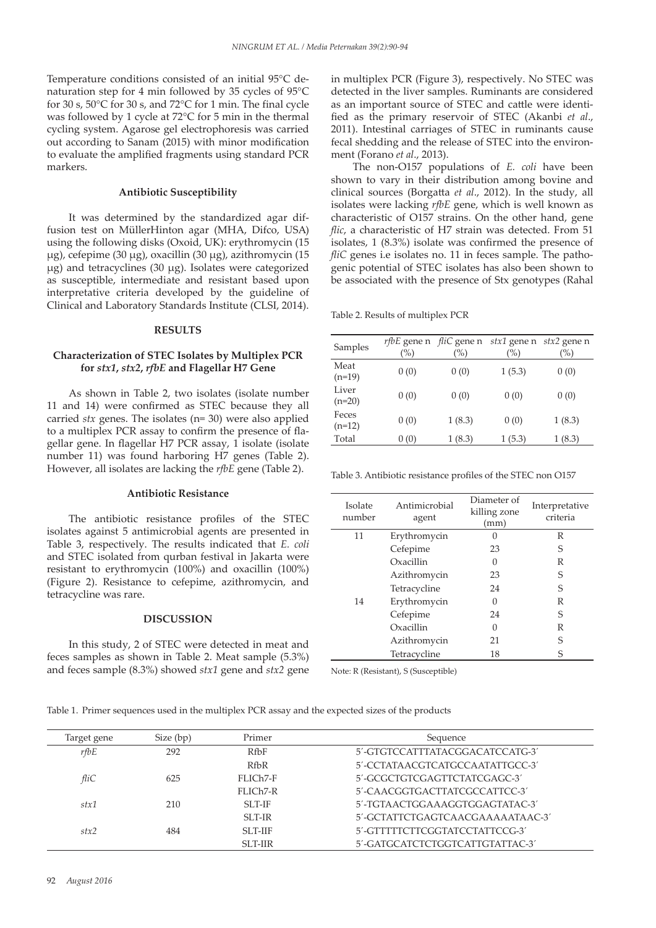Temperature conditions consisted of an initial 95°C denaturation step for 4 min followed by 35 cycles of 95°C for 30 s, 50°C for 30 s, and 72°C for 1 min. The final cycle was followed by 1 cycle at 72°C for 5 min in the thermal cycling system. Agarose gel electrophoresis was carried out according to Sanam (2015) with minor modification to evaluate the amplified fragments using standard PCR markers.

## **Antibiotic Susceptibility**

It was determined by the standardized agar diffusion test on MüllerHinton agar (MHA, Difco, USA) using the following disks (Oxoid, UK): erythromycin (15 µg), cefepime (30 µg), oxacillin (30 µg), azithromycin (15 µg) and tetracyclines (30 µg). Isolates were categorized as susceptible, intermediate and resistant based upon interpretative criteria developed by the guideline of Clinical and Laboratory Standards Institute (CLSI, 2014).

## **RESULTS**

# **Characterization of STEC Isolates by Multiplex PCR for** *stx1***,** *stx2***,** *rfbE* **and Flagellar H7 Gene**

As shown in Table 2, two isolates (isolate number 11 and 14) were confirmed as STEC because they all carried *stx* genes. The isolates (n= 30) were also applied to a multiplex PCR assay to confirm the presence of flagellar gene. In flagellar H7 PCR assay, 1 isolate (isolate number 11) was found harboring H7 genes (Table 2). However, all isolates are lacking the *rfbE* gene (Table 2).

#### **Antibiotic Resistance**

The antibiotic resistance profiles of the STEC isolates against 5 antimicrobial agents are presented in Table 3, respectively. The results indicated that *E. coli* and STEC isolated from qurban festival in Jakarta were resistant to erythromycin (100%) and oxacillin (100%) (Figure 2). Resistance to cefepime, azithromycin, and tetracycline was rare.

# **DISCUSSION**

In this study, 2 of STEC were detected in meat and feces samples as shown in Table 2. Meat sample (5.3%) and feces sample (8.3%) showed *stx1* gene and *stx2* gene in multiplex PCR (Figure 3), respectively. No STEC was detected in the liver samples. Ruminants are considered as an important source of STEC and cattle were identified as the primary reservoir of STEC (Akanbi *et al*., 2011). Intestinal carriages of STEC in ruminants cause fecal shedding and the release of STEC into the environment (Forano *et al*., 2013).

The non-O157 populations of *E. coli* have been shown to vary in their distribution among bovine and clinical sources (Borgatta *et al*., 2012). In the study, all isolates were lacking *rfbE* gene, which is well known as characteristic of O157 strains. On the other hand, gene *flic*, a characteristic of H7 strain was detected. From 51 isolates, 1 (8.3%) isolate was confirmed the presence of *fliC* genes i.e isolates no. 11 in feces sample. The pathogenic potential of STEC isolates has also been shown to be associated with the presence of Stx genotypes (Rahal

Table 2. Results of multiplex PCR

| Samples           | $(\%)$ | <i>rfbE</i> gene n <i>fliC</i> gene n<br>$(\%)$ | stx1 gene n stx2 gene n<br>(%) | $(\%)$ |
|-------------------|--------|-------------------------------------------------|--------------------------------|--------|
| Meat<br>$(n=19)$  | 0(0)   | 0(0)                                            | 1(5.3)                         | 0(0)   |
| Liver<br>$(n=20)$ | 0(0)   | 0(0)                                            | 0(0)                           | 0(0)   |
| Feces<br>$(n=12)$ | 0(0)   | 1(8.3)                                          | 0(0)                           | 1(8.3) |
| Total             | 0(0)   | 1(8.3)                                          | 1(5.3)                         | 1(8.3) |

Table 3. Antibiotic resistance profiles of the STEC non O157

| Isolate<br>number | Antimicrobial<br>agent | Diameter of<br>killing zone<br>(mm) | Interpretative<br>criteria |
|-------------------|------------------------|-------------------------------------|----------------------------|
| 11                | Erythromycin           |                                     | R                          |
|                   | Cefepime               | 23                                  | S                          |
|                   | Oxacillin              | 0                                   | R                          |
|                   | Azithromycin           | 23                                  | S                          |
|                   | Tetracycline           | 24                                  | S                          |
| 14                | Erythromycin           | 0                                   | R                          |
|                   | Cefepime               | 24                                  | S                          |
|                   | Oxacillin              | 0                                   | R                          |
|                   | Azithromycin           | 21                                  | S                          |
|                   | Tetracycline           | 18                                  | S                          |

Note: R (Resistant), S (Susceptible)

| Table 1. Primer sequences used in the multiplex PCR assay and the expected sizes of the products |  |  |  |  |
|--------------------------------------------------------------------------------------------------|--|--|--|--|
|--------------------------------------------------------------------------------------------------|--|--|--|--|

| Target gene | Size (bp) | Primer        | Sequence                         |
|-------------|-----------|---------------|----------------------------------|
| rfbE        | 292       | $R$ fb $F$    | 5'-GTGTCCATTTATACGGACATCCATG-3'  |
|             |           | RfbR          | 5'-CCTATAACGTCATGCCAATATTGCC-3'  |
| fliC        | 625       | FLICh7-F      | 5'-GCGCTGTCGAGTTCTATCGAGC-3'     |
|             |           | FLICh7-R      | 5'-CAACGGTGACTTATCGCCATTCC-3'    |
| stx1        | 210       | <b>SLT-IF</b> | 5'-TGTAACTGGAAAGGTGGAGTATAC-3'   |
|             |           | <b>SLT-IR</b> | 5'-GCTATTCTGAGTCAACGAAAAATAAC-3' |
| stx2        | 484       | <b>SLT-HF</b> | 5'-GTTTTTCTTCGGTATCCTATTCCG-3'   |
|             |           | <b>SLT-HR</b> | 5'-GATGCATCTCTGGTCATTGTATTAC-3'  |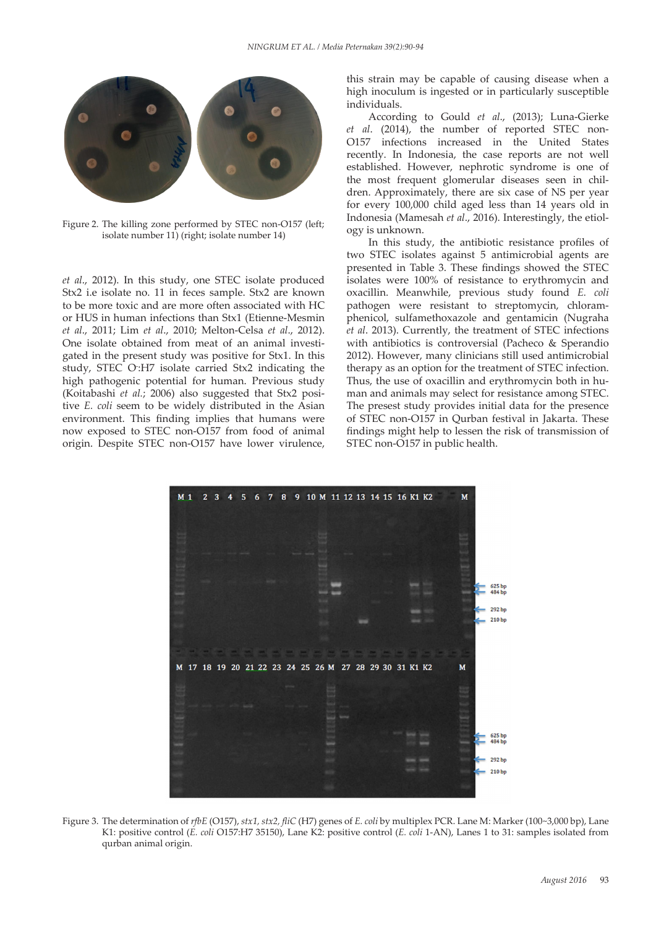

Figure 2. The killing zone performed by STEC non-O157 (left; isolate number 11) (right; isolate number 14) 51 - Figure 2. The killi

*et al*., 2012). In this study, one STEC isolate produced Stx2 i.e isolate no. 11 in feces sample. Stx2 are known to be more toxic and are more often associated with HC or HUS in human infections than Stx1 (Etienne-Mesmin *et al*., 2011; Lim *et al*., 2010; Melton-Celsa *et al*., 2012). One isolate obtained from meat of an animal investigated in the present study was positive for Stx1. In this study, STEC O- :H7 isolate carried Stx2 indicating the high pathogenic potential for human. Previous study (Koitabashi *et al.*; 2006) also suggested that Stx2 positive *E. coli* seem to be widely distributed in the Asian environment. This finding implies that humans were now exposed to STEC non-O157 from food of animal origin. Despite STEC non-O157 have lower virulence,

this strain may be capable of causing disease when a high inoculum is ingested or in particularly susceptible individuals.

According to Gould *et al*., (2013); Luna-Gierke *et al*. (2014), the number of reported STEC non-O157 infections increased in the United States recently. In Indonesia, the case reports are not well established. However, nephrotic syndrome is one of the most frequent glomerular diseases seen in children. Approximately, there are six case of NS per year for every 100,000 child aged less than 14 years old in Indonesia (Mamesah *et al*., 2016). Interestingly, the etiology is unknown.

In this study, the antibiotic resistance profiles of two STEC isolates against 5 antimicrobial agents are presented in Table 3. These findings showed the STEC isolates were 100% of resistance to erythromycin and oxacillin. Meanwhile, previous study found *E. coli* pathogen were resistant to streptomycin, chloramphenicol, sulfamethoxazole and gentamicin (Nugraha *et al*. 2013). Currently, the treatment of STEC infections with antibiotics is controversial (Pacheco & Sperandio 2012). However, many clinicians still used antimicrobial therapy as an option for the treatment of STEC infection. Thus, the use of oxacillin and erythromycin both in human and animals may select for resistance among STEC. The presest study provides initial data for the presence of STEC non-O157 in Qurban festival in Jakarta. These findings might help to lessen the risk of transmission of STEC non-O157 in public health.



Figure 3. The determination of *rfbE* (O157), *stx1, stx2, fliC* (H7) genes of *E. coli* by multiplex PCR. Lane M: Marker (100~3,000 bp), Lane K1: positive control (*E. coli* O157:H7 35150), Lane K2: positive control (*E. coli* 1-AN), Lanes 1 to 31: samples isolated from qurban animal origin.